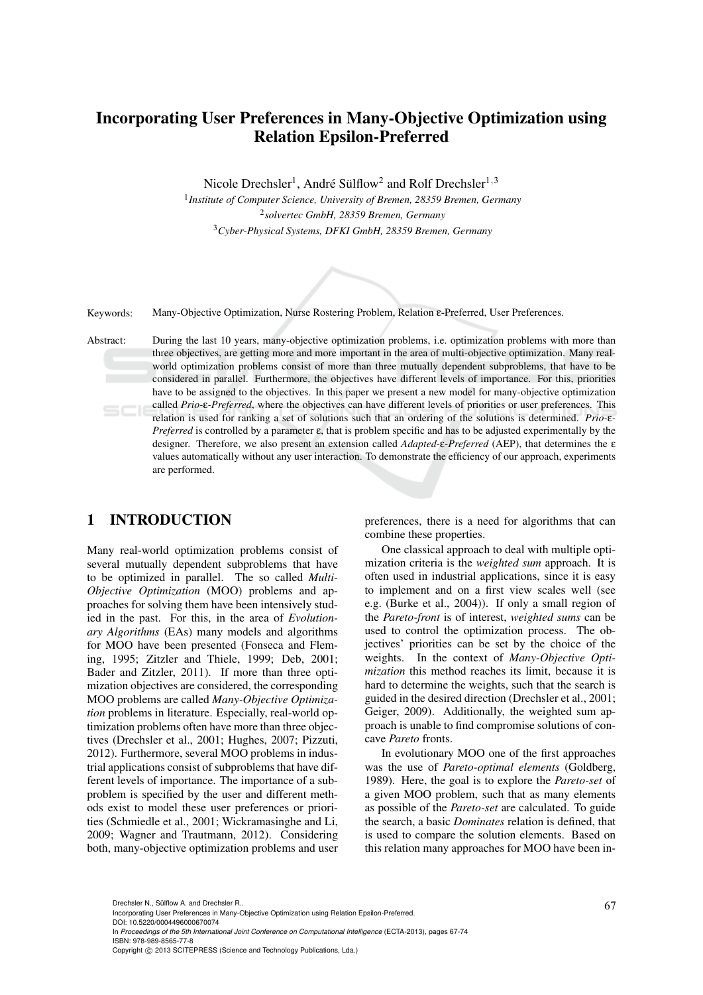# Incorporating User Preferences in Many-Objective Optimization using Relation Epsilon-Preferred

Nicole Drechsler<sup>1</sup>, André Sülflow<sup>2</sup> and Rolf Drechsler<sup>1,3</sup>

1 *Institute of Computer Science, University of Bremen, 28359 Bremen, Germany* 2 *solvertec GmbH, 28359 Bremen, Germany* <sup>3</sup>*Cyber-Physical Systems, DFKI GmbH, 28359 Bremen, Germany*



Keywords: Many-Objective Optimization, Nurse Rostering Problem, Relation ε-Preferred, User Preferences.

Abstract: During the last 10 years, many-objective optimization problems, i.e. optimization problems with more than three objectives, are getting more and more important in the area of multi-objective optimization. Many realworld optimization problems consist of more than three mutually dependent subproblems, that have to be considered in parallel. Furthermore, the objectives have different levels of importance. For this, priorities have to be assigned to the objectives. In this paper we present a new model for many-objective optimization called *Prio-*ε*-Preferred*, where the objectives can have different levels of priorities or user preferences. This relation is used for ranking a set of solutions such that an ordering of the solutions is determined. *Prio-*ε*-Preferred* is controlled by a parameter ε, that is problem specific and has to be adjusted experimentally by the designer. Therefore, we also present an extension called *Adapted-*ε*-Preferred* (AEP), that determines the ε values automatically without any user interaction. To demonstrate the efficiency of our approach, experiments are performed.

## 1 INTRODUCTION

Many real-world optimization problems consist of several mutually dependent subproblems that have to be optimized in parallel. The so called *Multi-Objective Optimization* (MOO) problems and approaches for solving them have been intensively studied in the past. For this, in the area of *Evolutionary Algorithms* (EAs) many models and algorithms for MOO have been presented (Fonseca and Fleming, 1995; Zitzler and Thiele, 1999; Deb, 2001; Bader and Zitzler, 2011). If more than three optimization objectives are considered, the corresponding MOO problems are called *Many-Objective Optimization* problems in literature. Especially, real-world optimization problems often have more than three objectives (Drechsler et al., 2001; Hughes, 2007; Pizzuti, 2012). Furthermore, several MOO problems in industrial applications consist of subproblems that have different levels of importance. The importance of a subproblem is specified by the user and different methods exist to model these user preferences or priorities (Schmiedle et al., 2001; Wickramasinghe and Li, 2009; Wagner and Trautmann, 2012). Considering both, many-objective optimization problems and user

preferences, there is a need for algorithms that can combine these properties.

One classical approach to deal with multiple optimization criteria is the *weighted sum* approach. It is often used in industrial applications, since it is easy to implement and on a first view scales well (see e.g. (Burke et al., 2004)). If only a small region of the *Pareto-front* is of interest, *weighted sums* can be used to control the optimization process. The objectives' priorities can be set by the choice of the weights. In the context of *Many-Objective Optimization* this method reaches its limit, because it is hard to determine the weights, such that the search is guided in the desired direction (Drechsler et al., 2001; Geiger, 2009). Additionally, the weighted sum approach is unable to find compromise solutions of concave *Pareto* fronts.

In evolutionary MOO one of the first approaches was the use of *Pareto-optimal elements* (Goldberg, 1989). Here, the goal is to explore the *Pareto-set* of a given MOO problem, such that as many elements as possible of the *Pareto-set* are calculated. To guide the search, a basic *Dominates* relation is defined, that is used to compare the solution elements. Based on this relation many approaches for MOO have been in-

DOI: 10.5220/0004496000670074

Drechsler N., Sülflow A. and Drechsler R..<br>Incorporating User Preferences in Many-Objective Optimization using Relation Epsilon-Preferred.

In *Proceedings of the 5th International Joint Conference on Computational Intelligence* (ECTA-2013), pages 67-74 ISBN: 978-989-8565-77-8

Copyright (C) 2013 SCITEPRESS (Science and Technology Publications, Lda.)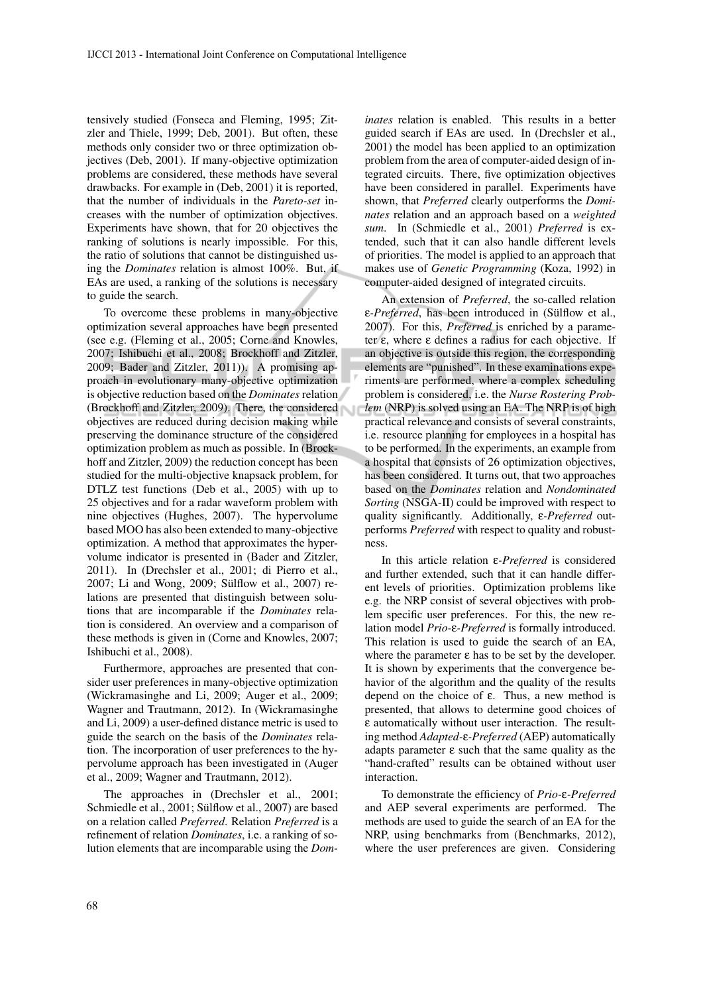tensively studied (Fonseca and Fleming, 1995; Zitzler and Thiele, 1999; Deb, 2001). But often, these methods only consider two or three optimization objectives (Deb, 2001). If many-objective optimization problems are considered, these methods have several drawbacks. For example in (Deb, 2001) it is reported, that the number of individuals in the *Pareto-set* increases with the number of optimization objectives. Experiments have shown, that for 20 objectives the ranking of solutions is nearly impossible. For this, the ratio of solutions that cannot be distinguished using the *Dominates* relation is almost 100%. But, if EAs are used, a ranking of the solutions is necessary to guide the search.

To overcome these problems in many-objective optimization several approaches have been presented (see e.g. (Fleming et al., 2005; Corne and Knowles, 2007; Ishibuchi et al., 2008; Brockhoff and Zitzler, 2009; Bader and Zitzler, 2011)). A promising approach in evolutionary many-objective optimization is objective reduction based on the *Dominates* relation (Brockhoff and Zitzler, 2009). There, the considered objectives are reduced during decision making while preserving the dominance structure of the considered optimization problem as much as possible. In (Brockhoff and Zitzler, 2009) the reduction concept has been studied for the multi-objective knapsack problem, for DTLZ test functions (Deb et al., 2005) with up to 25 objectives and for a radar waveform problem with nine objectives (Hughes, 2007). The hypervolume based MOO has also been extended to many-objective optimization. A method that approximates the hypervolume indicator is presented in (Bader and Zitzler, 2011). In (Drechsler et al., 2001; di Pierro et al., 2007; Li and Wong, 2009; Sülflow et al., 2007) relations are presented that distinguish between solutions that are incomparable if the *Dominates* relation is considered. An overview and a comparison of these methods is given in (Corne and Knowles, 2007; Ishibuchi et al., 2008).

Furthermore, approaches are presented that consider user preferences in many-objective optimization (Wickramasinghe and Li, 2009; Auger et al., 2009; Wagner and Trautmann, 2012). In (Wickramasinghe and Li, 2009) a user-defined distance metric is used to guide the search on the basis of the *Dominates* relation. The incorporation of user preferences to the hypervolume approach has been investigated in (Auger et al., 2009; Wagner and Trautmann, 2012).

The approaches in (Drechsler et al., 2001; Schmiedle et al., 2001; Sülflow et al., 2007) are based on a relation called *Preferred*. Relation *Preferred* is a refinement of relation *Dominates*, i.e. a ranking of solution elements that are incomparable using the *Dom-* *inates* relation is enabled. This results in a better guided search if EAs are used. In (Drechsler et al., 2001) the model has been applied to an optimization problem from the area of computer-aided design of integrated circuits. There, five optimization objectives have been considered in parallel. Experiments have shown, that *Preferred* clearly outperforms the *Dominates* relation and an approach based on a *weighted sum*. In (Schmiedle et al., 2001) *Preferred* is extended, such that it can also handle different levels of priorities. The model is applied to an approach that makes use of *Genetic Programming* (Koza, 1992) in computer-aided designed of integrated circuits.

An extension of *Preferred*, the so-called relation ε-Preferred, has been introduced in (Sülflow et al., 2007). For this, *Preferred* is enriched by a parameter ε, where ε defines a radius for each objective. If an objective is outside this region, the corresponding elements are "punished". In these examinations experiments are performed, where a complex scheduling problem is considered, i.e. the *Nurse Rostering Problem* (NRP) is solved using an EA. The NRP is of high practical relevance and consists of several constraints, i.e. resource planning for employees in a hospital has to be performed. In the experiments, an example from a hospital that consists of 26 optimization objectives, has been considered. It turns out, that two approaches based on the *Dominates* relation and *Nondominated Sorting* (NSGA-II) could be improved with respect to quality significantly. Additionally, ε*-Preferred* outperforms *Preferred* with respect to quality and robustness.

In this article relation ε*-Preferred* is considered and further extended, such that it can handle different levels of priorities. Optimization problems like e.g. the NRP consist of several objectives with problem specific user preferences. For this, the new relation model *Prio-*ε*-Preferred* is formally introduced. This relation is used to guide the search of an EA, where the parameter  $\varepsilon$  has to be set by the developer. It is shown by experiments that the convergence behavior of the algorithm and the quality of the results depend on the choice of ε. Thus, a new method is presented, that allows to determine good choices of ε automatically without user interaction. The resulting method *Adapted-*ε*-Preferred* (AEP) automatically adapts parameter  $\varepsilon$  such that the same quality as the "hand-crafted" results can be obtained without user interaction.

To demonstrate the efficiency of *Prio-*ε*-Preferred* and AEP several experiments are performed. The methods are used to guide the search of an EA for the NRP, using benchmarks from (Benchmarks, 2012), where the user preferences are given. Considering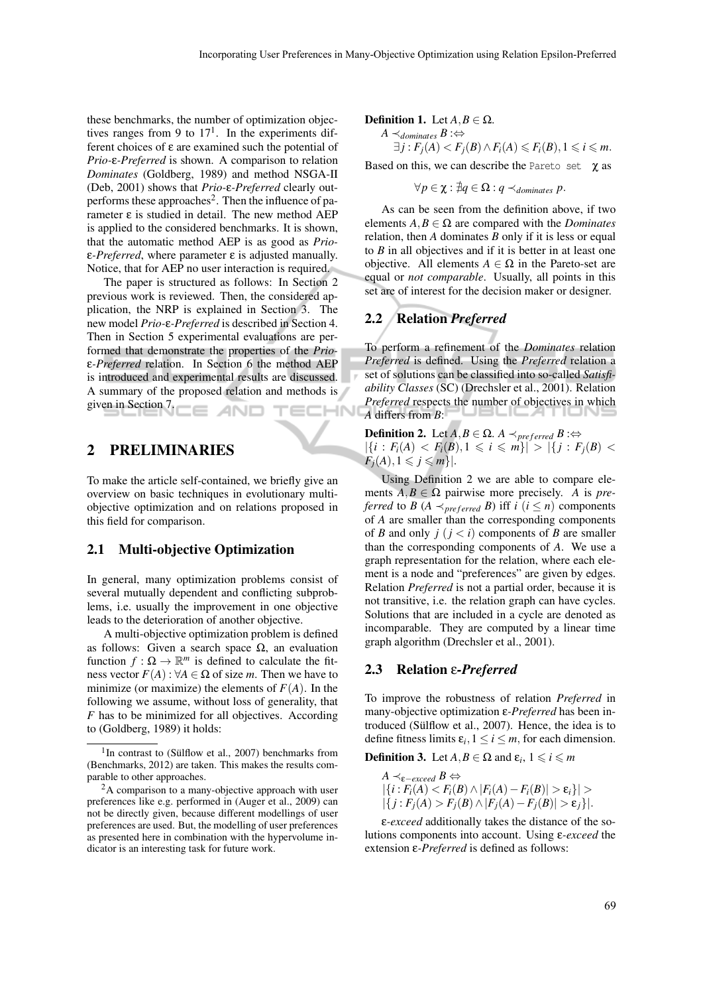these benchmarks, the number of optimization objectives ranges from 9 to  $17<sup>1</sup>$ . In the experiments different choices of ε are examined such the potential of *Prio-*ε*-Preferred* is shown. A comparison to relation *Dominates* (Goldberg, 1989) and method NSGA-II (Deb, 2001) shows that *Prio-*ε*-Preferred* clearly outperforms these approaches<sup>2</sup>. Then the influence of parameter ε is studied in detail. The new method AEP is applied to the considered benchmarks. It is shown, that the automatic method AEP is as good as *Prio*ε*-Preferred*, where parameter ε is adjusted manually. Notice, that for AEP no user interaction is required.

The paper is structured as follows: In Section 2 previous work is reviewed. Then, the considered application, the NRP is explained in Section 3. The new model *Prio-*ε*-Preferred* is described in Section 4. Then in Section 5 experimental evaluations are performed that demonstrate the properties of the *Prio*ε*-Preferred* relation. In Section 6 the method AEP is introduced and experimental results are discussed. A summary of the proposed relation and methods is given in Section 7. **ECHNO** AND

### 2 PRELIMINARIES

To make the article self-contained, we briefly give an overview on basic techniques in evolutionary multiobjective optimization and on relations proposed in this field for comparison.

#### 2.1 Multi-objective Optimization

In general, many optimization problems consist of several mutually dependent and conflicting subproblems, i.e. usually the improvement in one objective leads to the deterioration of another objective.

A multi-objective optimization problem is defined as follows: Given a search space  $Ω$ , an evaluation function  $f: \Omega \to \mathbb{R}^m$  is defined to calculate the fitness vector  $F(A)$ :  $\forall A \in \Omega$  of size *m*. Then we have to minimize (or maximize) the elements of  $F(A)$ . In the following we assume, without loss of generality, that *F* has to be minimized for all objectives. According to (Goldberg, 1989) it holds:

#### **Definition 1.** Let  $A, B \in \Omega$ .

*A*  $\prec$ <sub>*dominates*</sub> *B* :⇔  $\exists j : F_j(A) < F_j(B) \land F_i(A) \leq F_i(B), 1 \leq i \leq m$ .

Based on this, we can describe the Pareto set  $\gamma$  as

$$
\forall p \in \chi: \nexists q \in \Omega: q \prec_{dominates} p.
$$

As can be seen from the definition above, if two elements  $A, B \in \Omega$  are compared with the *Dominates* relation, then *A* dominates *B* only if it is less or equal to *B* in all objectives and if it is better in at least one objective. All elements  $A \in \Omega$  in the Pareto-set are equal or *not comparable*. Usually, all points in this set are of interest for the decision maker or designer.

### 2.2 Relation *Preferred*

To perform a refinement of the *Dominates* relation *Preferred* is defined. Using the *Preferred* relation a set of solutions can be classified into so-called *Satisfiability Classes* (SC) (Drechsler et al., 2001). Relation *Preferred* respects the number of objectives in which *A* differs from *B*:

**Definition 2.** Let *A,B* ∈ Ω. *A*  $\prec$ <sub>*preferred*</sub> *B* :⇔  $|{i : F_i(A) < F_i(B), 1 \leq i \leq m}$   $|{j : F_i(B) <$  $F_i(A), 1 \leqslant j \leqslant m$ .

Using Definition 2 we are able to compare elements  $A, B \in \Omega$  pairwise more precisely. *A* is *preferred* to *B* (*A*  $\prec$ <sub>*preferred*</sub> *B*) iff *i* (*i*  $\leq$  *n*) components of *A* are smaller than the corresponding components of *B* and only  $j$  ( $j < i$ ) components of *B* are smaller than the corresponding components of *A*. We use a graph representation for the relation, where each element is a node and "preferences" are given by edges. Relation *Preferred* is not a partial order, because it is not transitive, i.e. the relation graph can have cycles. Solutions that are included in a cycle are denoted as incomparable. They are computed by a linear time graph algorithm (Drechsler et al., 2001).

#### 2.3 Relation ε*-Preferred*

To improve the robustness of relation *Preferred* in many-objective optimization ε*-Preferred* has been introduced (Sülflow et al.,  $2007$ ). Hence, the idea is to define fitness limits  $\varepsilon_i$ ,  $1 \le i \le m$ , for each dimension.

**Definition 3.** Let  $A, B \in \Omega$  and  $\varepsilon_i, 1 \leq i \leq m$ 

$$
A \prec_{\varepsilon-exceed} B \Leftrightarrow
$$
  
|\{i : F\_i(A) < F\_i(B) \land |F\_i(A) - F\_i(B)| > \varepsilon\_i\}| >  
|\{j : F\_j(A) > F\_j(B) \land |F\_j(A) - F\_j(B)| > \varepsilon\_j\}|.

ε*-exceed* additionally takes the distance of the solutions components into account. Using ε*-exceed* the extension ε*-Preferred* is defined as follows:

<sup>&</sup>lt;sup>1</sup>In contrast to (Sülflow et al., 2007) benchmarks from (Benchmarks, 2012) are taken. This makes the results comparable to other approaches.

 ${}^{2}$ A comparison to a many-objective approach with user preferences like e.g. performed in (Auger et al., 2009) can not be directly given, because different modellings of user preferences are used. But, the modelling of user preferences as presented here in combination with the hypervolume indicator is an interesting task for future work.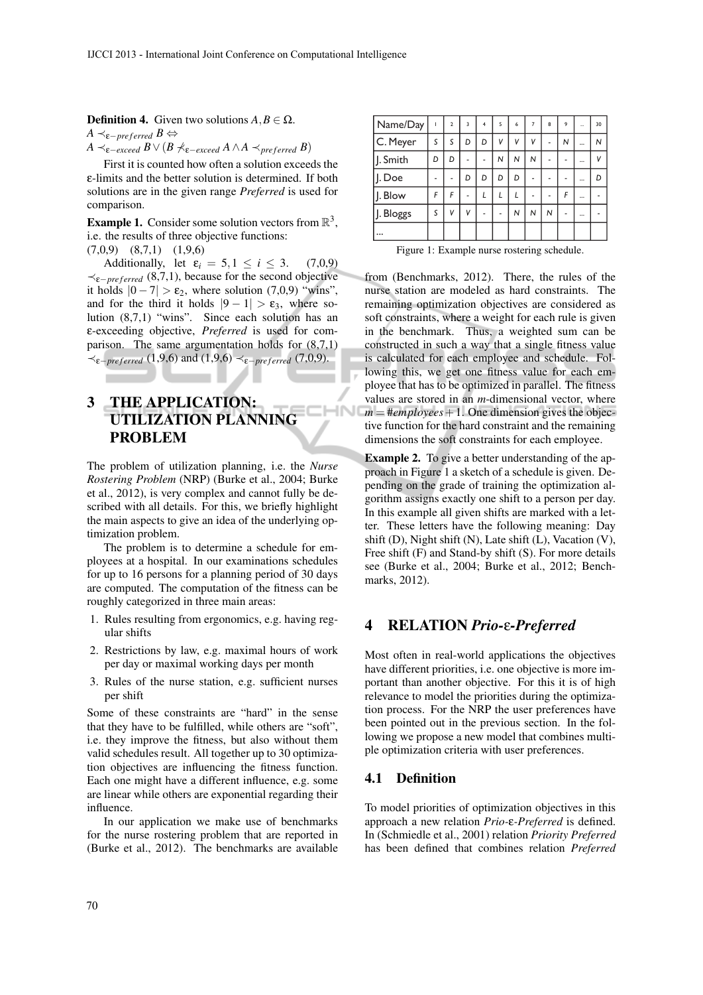**Definition 4.** Given two solutions  $A, B \in \Omega$ .

 $A \prec_{\varepsilon-preferred} B \Leftrightarrow$ 

*A*  $\prec$ <sup>*ε*</sup>*–exceed B V* (*B*  $\nprec$ <sup>*k*</sup>*ε–exceed A ∧A*  $\prec$ *preferred B*)

First it is counted how often a solution exceeds the ε-limits and the better solution is determined. If both solutions are in the given range *Preferred* is used for comparison.

**Example 1.** Consider some solution vectors from  $\mathbb{R}^3$ , i.e. the results of three objective functions:

(7,0,9) (8,7,1) (1,9,6)

Additionally, let  $\varepsilon_i = 5, 1 \le i \le 3$ . (7,0,9) *≺*ε*−pre f erred* (8,7,1), because for the second objective it holds  $|0 - 7| > \varepsilon_2$ , where solution (7,0,9) "wins", and for the third it holds  $|9-1| > \varepsilon_3$ , where solution (8,7,1) "wins". Since each solution has an ε-exceeding objective, *Preferred* is used for comparison. The same argumentation holds for (8,7,1) *≺*ε*−pre f erred* (1,9,6) and (1,9,6) *≺*ε*−pre f erred* (7,0,9).

# 3 THE APPLICATION: UTILIZATION PLANNING PROBLEM

The problem of utilization planning, i.e. the *Nurse Rostering Problem* (NRP) (Burke et al., 2004; Burke et al., 2012), is very complex and cannot fully be described with all details. For this, we briefly highlight the main aspects to give an idea of the underlying optimization problem.

**CHN** 

The problem is to determine a schedule for employees at a hospital. In our examinations schedules for up to 16 persons for a planning period of 30 days are computed. The computation of the fitness can be roughly categorized in three main areas:

- 1. Rules resulting from ergonomics, e.g. having regular shifts
- 2. Restrictions by law, e.g. maximal hours of work per day or maximal working days per month
- 3. Rules of the nurse station, e.g. sufficient nurses per shift

Some of these constraints are "hard" in the sense that they have to be fulfilled, while others are "soft", i.e. they improve the fitness, but also without them valid schedules result. All together up to 30 optimization objectives are influencing the fitness function. Each one might have a different influence, e.g. some are linear while others are exponential regarding their influence.

In our application we make use of benchmarks for the nurse rostering problem that are reported in (Burke et al., 2012). The benchmarks are available

| Name/Day  |   | $\overline{2}$ | 3 | 4 | 5 | 6 | 7              | 8 | 9 | $\cdots$ | 30 |
|-----------|---|----------------|---|---|---|---|----------------|---|---|----------|----|
| C. Meyer  | S | S              | D | D | V | v | V              |   | N |          | N  |
| J. Smith  | D | D              |   |   | N | N | N              |   |   |          | V  |
| J. Doe    |   |                | D | D | D | D |                |   |   |          | D  |
| J. Blow   | F | F              |   |   |   |   |                |   | F |          |    |
| J. Bloggs | S | V              | V |   |   | N | $\overline{N}$ | N |   |          |    |
| $\ddotsc$ |   |                |   |   |   |   |                |   |   |          |    |
|           |   |                |   |   |   |   |                |   |   |          |    |

Figure 1: Example nurse rostering schedule.

from (Benchmarks, 2012). There, the rules of the nurse station are modeled as hard constraints. The remaining optimization objectives are considered as soft constraints, where a weight for each rule is given in the benchmark. Thus, a weighted sum can be constructed in such a way that a single fitness value is calculated for each employee and schedule. Following this, we get one fitness value for each employee that has to be optimized in parallel. The fitness values are stored in an *m*-dimensional vector, where  $m = \frac{\text{#employees}}{1}$ . One dimension gives the objective function for the hard constraint and the remaining dimensions the soft constraints for each employee.

Example 2. To give a better understanding of the approach in Figure 1 a sketch of a schedule is given. Depending on the grade of training the optimization algorithm assigns exactly one shift to a person per day. In this example all given shifts are marked with a letter. These letters have the following meaning: Day shift (D), Night shift (N), Late shift (L), Vacation (V), Free shift (F) and Stand-by shift (S). For more details see (Burke et al., 2004; Burke et al., 2012; Benchmarks, 2012).

## 4 RELATION *Prio-*ε*-Preferred*

Most often in real-world applications the objectives have different priorities, i.e. one objective is more important than another objective. For this it is of high relevance to model the priorities during the optimization process. For the NRP the user preferences have been pointed out in the previous section. In the following we propose a new model that combines multiple optimization criteria with user preferences.

#### 4.1 Definition

To model priorities of optimization objectives in this approach a new relation *Prio-*ε*-Preferred* is defined. In (Schmiedle et al., 2001) relation *Priority Preferred* has been defined that combines relation *Preferred*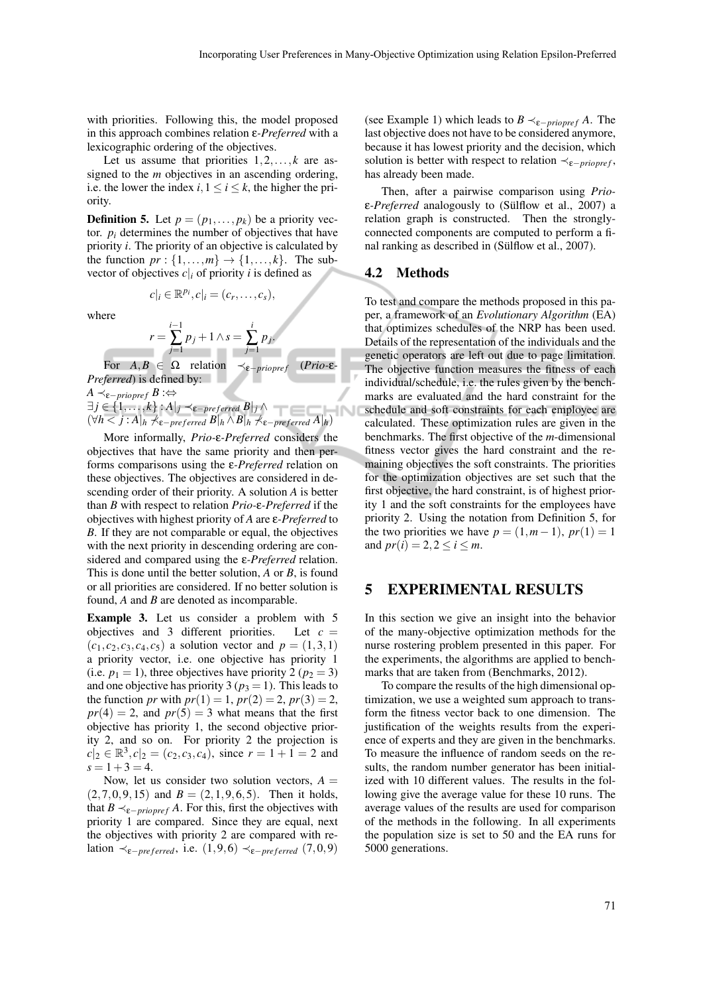with priorities. Following this, the model proposed in this approach combines relation ε*-Preferred* with a lexicographic ordering of the objectives.

Let us assume that priorities  $1, 2, \ldots, k$  are assigned to the *m* objectives in an ascending ordering, i.e. the lower the index  $i, 1 \le i \le k$ , the higher the priority.

**Definition 5.** Let  $p = (p_1, \ldots, p_k)$  be a priority vector.  $p_i$  determines the number of objectives that have priority *i*. The priority of an objective is calculated by the function  $pr: \{1, \ldots, m\} \rightarrow \{1, \ldots, k\}$ . The subvector of objectives  $c|_i$  of priority *i* is defined as

$$
c|_i \in \mathbb{R}^{p_i}, c|_i = (c_r, \ldots, c_s),
$$

where

$$
r = \sum_{j=1}^{i-1} p_j + 1 \wedge s = \sum_{j=1}^{i}
$$

For  $A, B \in \Omega$  relation  $\prec_{\varepsilon - \text{proper}} (Prio-\varepsilon-\varepsilon)$ *Preferred*) is defined by:

*i*

*pj .*

*A*  $\prec$ <sub>ε−</sub> *<i>B* :⇔

*∃ j ∈ {*1*,..., k}* : *A| <sup>j</sup> ≺*ε*−pre f erred B| <sup>j</sup> ∧* IN  $(\forall h < j : A |_{h} \nprec_{\varepsilon-preferred} B |_{h} \wedge B |_{h} \nprec_{\varepsilon-preferred} A |_{h})$ 

More informally, *Prio-*ε*-Preferred* considers the objectives that have the same priority and then performs comparisons using the ε*-Preferred* relation on these objectives. The objectives are considered in descending order of their priority. A solution *A* is better than *B* with respect to relation *Prio-*ε*-Preferred* if the objectives with highest priority of *A* are ε*-Preferred* to *B*. If they are not comparable or equal, the objectives with the next priority in descending ordering are considered and compared using the ε*-Preferred* relation. This is done until the better solution, *A* or *B*, is found or all priorities are considered. If no better solution is found, *A* and *B* are denoted as incomparable.

Example 3. Let us consider a problem with 5 objectives and 3 different priorities. Let  $c =$  $(c_1, c_2, c_3, c_4, c_5)$  a solution vector and  $p = (1, 3, 1)$ a priority vector, i.e. one objective has priority 1 (i.e.  $p_1 = 1$ ), three objectives have priority 2 ( $p_2 = 3$ ) and one objective has priority 3 ( $p_3 = 1$ ). This leads to the function *pr* with  $pr(1) = 1$ ,  $pr(2) = 2$ ,  $pr(3) = 2$ ,  $pr(4) = 2$ , and  $pr(5) = 3$  what means that the first objective has priority 1, the second objective priority 2, and so on. For priority 2 the projection is  $c|_2 \in \mathbb{R}^3$ ,  $c|_2 = (c_2, c_3, c_4)$ , since  $r = 1 + 1 = 2$  and  $s = 1 + 3 = 4.$ 

Now, let us consider two solution vectors,  $A =$  $(2, 7, 0, 9, 15)$  and  $B = (2, 1, 9, 6, 5)$ . Then it holds, that  $B \prec_{\varepsilon - \text{prionref}} A$ . For this, first the objectives with priority 1 are compared. Since they are equal, next the objectives with priority 2 are compared with relation  $\prec_{\varepsilon-preferred}$ , i.e.  $(1,9,6) \prec_{\varepsilon-preferred} (7,0,9)$ 

(see Example 1) which leads to *B*  $\prec_{\varepsilon-priopref} A$ . The last objective does not have to be considered anymore, because it has lowest priority and the decision, which solution is better with respect to relation  $\prec_{\varepsilon \neg$ *priopref*, has already been made.

Then, after a pairwise comparison using *Prio*ε*-Preferred* analogously to (Sülflow et al., 2007) a relation graph is constructed. Then the stronglyconnected components are computed to perform a final ranking as described in (Sülflow et al., 2007).

#### 4.2 Methods

To test and compare the methods proposed in this paper, a framework of an *Evolutionary Algorithm* (EA) that optimizes schedules of the NRP has been used. Details of the representation of the individuals and the genetic operators are left out due to page limitation. The objective function measures the fitness of each individual/schedule, i.e. the rules given by the benchmarks are evaluated and the hard constraint for the schedule and soft constraints for each employee are calculated. These optimization rules are given in the benchmarks. The first objective of the *m*-dimensional fitness vector gives the hard constraint and the remaining objectives the soft constraints. The priorities for the optimization objectives are set such that the first objective, the hard constraint, is of highest priority 1 and the soft constraints for the employees have priority 2. Using the notation from Definition 5, for the two priorities we have  $p = (1, m - 1)$ ,  $pr(1) = 1$ and  $pr(i) = 2, 2 \le i \le m$ .

## 5 EXPERIMENTAL RESULTS

In this section we give an insight into the behavior of the many-objective optimization methods for the nurse rostering problem presented in this paper. For the experiments, the algorithms are applied to benchmarks that are taken from (Benchmarks, 2012).

To compare the results of the high dimensional optimization, we use a weighted sum approach to transform the fitness vector back to one dimension. The justification of the weights results from the experience of experts and they are given in the benchmarks. To measure the influence of random seeds on the results, the random number generator has been initialized with 10 different values. The results in the following give the average value for these 10 runs. The average values of the results are used for comparison of the methods in the following. In all experiments the population size is set to 50 and the EA runs for 5000 generations.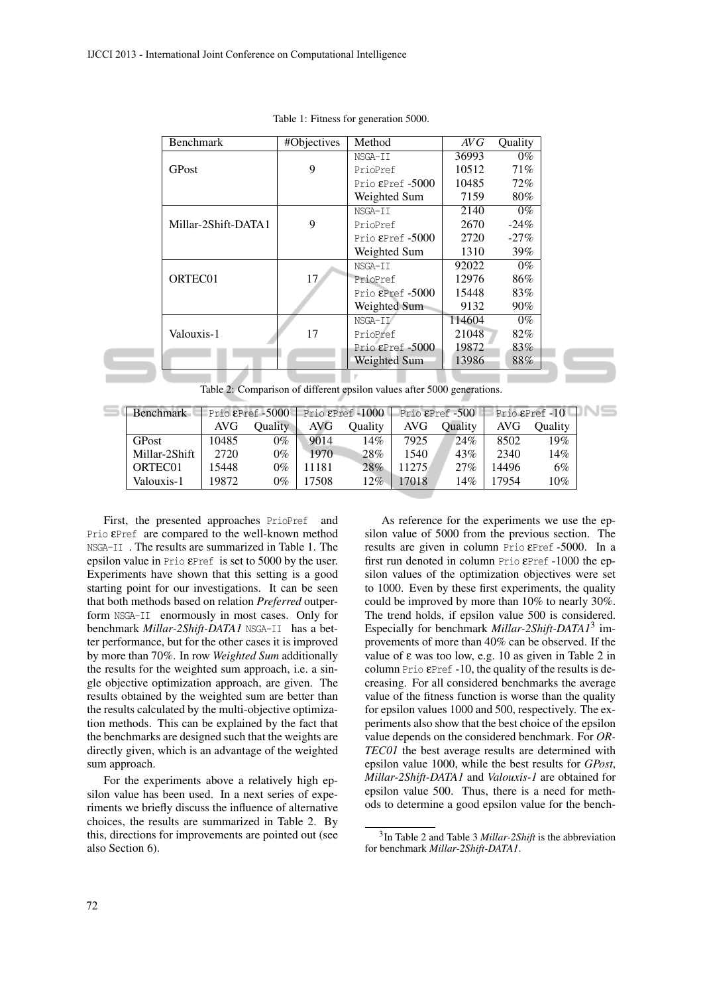| <b>Benchmark</b>    | #Objectives | Method                     | AVG    | Quality |
|---------------------|-------------|----------------------------|--------|---------|
|                     |             | NSGA-II                    | 36993  | $0\%$   |
| GPost               | 9           | PrioPref                   | 10512  | 71%     |
|                     |             | Prio $E$ Pref $-5000$      | 10485  | 72%     |
|                     |             | Weighted Sum               | 7159   | 80%     |
|                     |             | NSGA-II                    | 2140   | $0\%$   |
| Millar-2Shift-DATA1 | 9           | PrioPref                   | 2670   | $-24\%$ |
|                     |             | Prio $E$ Pref $-5000$      | 2720   | $-27\%$ |
|                     |             | Weighted Sum               | 1310   | 39%     |
|                     |             | NSGA-II                    | 92022  | $0\%$   |
| ORTEC01             | 17          | PrioPref                   | 12976  | 86%     |
|                     |             | Prio $\epsilon$ Pref -5000 | 15448  | 83%     |
|                     |             | Weighted Sum               | 9132   | $90\%$  |
|                     |             | NSGA-II                    | 114604 | $0\%$   |
| Valouxis-1          | 17          | PrioPref                   | 21048  | 82%     |
|                     |             | Prio $E$ Pref -5000        | 19872  | 83%     |
|                     |             | Weighted Sum               | 13986  | 88%     |

|  |  |  |  | Table 1: Fitness for generation 5000. |  |
|--|--|--|--|---------------------------------------|--|
|--|--|--|--|---------------------------------------|--|

Table 2: Comparison of different epsilon values after 5000 generations.

| <b>Benchmark</b> | Prio $E$ Pref -5000 |                | Prio $E$ Pref -1000 |                |        | Prio $E$ Pref $-500$ | Prio $E$ Pref -10 |         |  |
|------------------|---------------------|----------------|---------------------|----------------|--------|----------------------|-------------------|---------|--|
|                  | AVG                 | <b>Duality</b> | AVG                 | <b>Duality</b> | AVG.   | <b>Duality</b>       | AVG.              | Oualitv |  |
| <b>GPost</b>     | 0485                | $9\%$          | 9014                | 14%            | 7925   | 24%                  | 8502              | 19%     |  |
| Millar-2Shift    | 2720                | 0%             | 1970                | 28%            | 1540   | 43%                  | 2340              | 14%     |  |
| ORTEC01          | 5448                | $0\%$          | 11181               | 28%            | 11275. | 27%                  | 4496              | 6%      |  |
| Valouxis-1       | 19872               | 0%             | 7508                | 12%            | 7018   | 14%                  | 7954              | 10%     |  |

First, the presented approaches PrioPref and Prio εPref are compared to the well-known method NSGA-II . The results are summarized in Table 1. The epsilon value in Prio εPref is set to 5000 by the user. Experiments have shown that this setting is a good starting point for our investigations. It can be seen that both methods based on relation *Preferred* outperform NSGA-II enormously in most cases. Only for benchmark *Millar-2Shift-DATA1* NSGA-II has a better performance, but for the other cases it is improved by more than 70%. In row *Weighted Sum* additionally the results for the weighted sum approach, i.e. a single objective optimization approach, are given. The results obtained by the weighted sum are better than the results calculated by the multi-objective optimization methods. This can be explained by the fact that the benchmarks are designed such that the weights are directly given, which is an advantage of the weighted sum approach.

For the experiments above a relatively high epsilon value has been used. In a next series of experiments we briefly discuss the influence of alternative choices, the results are summarized in Table 2. By this, directions for improvements are pointed out (see also Section 6).

As reference for the experiments we use the epsilon value of 5000 from the previous section. The results are given in column Prio εPref -5000. In a first run denoted in column Prio εPref -1000 the epsilon values of the optimization objectives were set to 1000. Even by these first experiments, the quality could be improved by more than 10% to nearly 30%. The trend holds, if epsilon value 500 is considered. Especially for benchmark *Millar-2Shift-DATA1*<sup>3</sup> improvements of more than 40% can be observed. If the value of ε was too low, e.g. 10 as given in Table 2 in column Prio  $E$ Pref -10, the quality of the results is decreasing. For all considered benchmarks the average value of the fitness function is worse than the quality for epsilon values 1000 and 500, respectively. The experiments also show that the best choice of the epsilon value depends on the considered benchmark. For *OR-TEC01* the best average results are determined with epsilon value 1000, while the best results for *GPost*, *Millar-2Shift-DATA1* and *Valouxis-1* are obtained for epsilon value 500. Thus, there is a need for methods to determine a good epsilon value for the bench-

<sup>3</sup> In Table 2 and Table 3 *Millar-2Shift* is the abbreviation for benchmark *Millar-2Shift-DATA1*.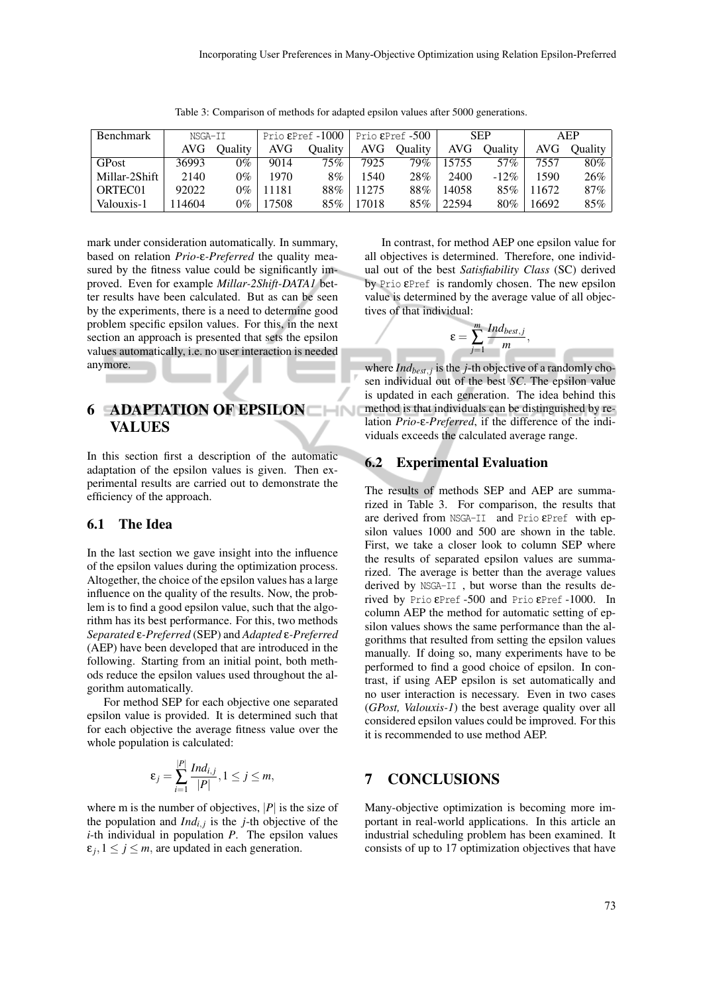| <b>Benchmark</b> | NSGA-II |                | Prio $E$ Pref -1000 |         |       | Prio &Pref -500 | <b>SEP</b> |         | AEP   |                |
|------------------|---------|----------------|---------------------|---------|-------|-----------------|------------|---------|-------|----------------|
|                  | AVG.    | <b>Ouality</b> | AVG.                | Ouality |       | AVG Ouality     | AVG        | Ouality | AVG   | <b>Ouality</b> |
| GPost            | 36993   | $0\%$          | 9014                | 75%     | 7925  | 79%             | 15755      | 57%     | 7557  | $80\%$         |
| Millar-2Shift    | 2140    | $0\%$          | 1970                | $8\%$   | 1540  | 28%             | 2400       | $-12\%$ | 1590  | 26%            |
| ORTEC01          | 92022   | $0\%$          | 11181               | $88\%$  | 11275 | 88%             | 14058      | $85\%$  | 11672 | 87%            |
| Valouxis-1       | 14604   | $0\%$          | 17508               | $85\%$  | 17018 | 85%             | 22594      | 80%     | 16692 | 85%            |

Table 3: Comparison of methods for adapted epsilon values after 5000 generations.

mark under consideration automatically. In summary, based on relation *Prio-*ε*-Preferred* the quality measured by the fitness value could be significantly improved. Even for example *Millar-2Shift-DATA1* better results have been calculated. But as can be seen by the experiments, there is a need to determine good problem specific epsilon values. For this, in the next section an approach is presented that sets the epsilon values automatically, i.e. no user interaction is needed anymore.

# 6 ADAPTATION OF EPSILON VALUES

In this section first a description of the automatic adaptation of the epsilon values is given. Then experimental results are carried out to demonstrate the efficiency of the approach.

#### 6.1 The Idea

In the last section we gave insight into the influence of the epsilon values during the optimization process. Altogether, the choice of the epsilon values has a large influence on the quality of the results. Now, the problem is to find a good epsilon value, such that the algorithm has its best performance. For this, two methods *Separated* ε*-Preferred* (SEP) and *Adapted* ε*-Preferred* (AEP) have been developed that are introduced in the following. Starting from an initial point, both methods reduce the epsilon values used throughout the algorithm automatically.

For method SEP for each objective one separated epsilon value is provided. It is determined such that for each objective the average fitness value over the whole population is calculated:

$$
\varepsilon_j=\sum_{i=1}^{|P|}\frac{Ind_{i,j}}{|P|}, 1\leq j\leq m,
$$

where m is the number of objectives,  $|P|$  is the size of the population and  $Ind_{i,j}$  is the *j*-th objective of the *i*-th individual in population *P*. The epsilon values  $\varepsilon_j$ ,  $1 \leq j \leq m$ , are updated in each generation.

In contrast, for method AEP one epsilon value for all objectives is determined. Therefore, one individual out of the best *Satisfiability Class* (SC) derived by Prio εPref is randomly chosen. The new epsilon value is determined by the average value of all objectives of that individual:

$$
\varepsilon = \sum_{j=1}^m \frac{Ind_{best,j}}{m},
$$

where *Indbest, <sup>j</sup>* is the *j*-th objective of a randomly chosen individual out of the best *SC*. The epsilon value is updated in each generation. The idea behind this method is that individuals can be distinguished by relation *Prio-*ε*-Preferred*, if the difference of the individuals exceeds the calculated average range.

#### 6.2 Experimental Evaluation

The results of methods SEP and AEP are summarized in Table 3. For comparison, the results that are derived from NSGA-II and Prio εPref with epsilon values 1000 and 500 are shown in the table. First, we take a closer look to column SEP where the results of separated epsilon values are summarized. The average is better than the average values derived by NSGA-II , but worse than the results derived by Prio εPref -500 and Prio εPref -1000. In column AEP the method for automatic setting of epsilon values shows the same performance than the algorithms that resulted from setting the epsilon values manually. If doing so, many experiments have to be performed to find a good choice of epsilon. In contrast, if using AEP epsilon is set automatically and no user interaction is necessary. Even in two cases (*GPost, Valouxis-1*) the best average quality over all considered epsilon values could be improved. For this it is recommended to use method AEP.

## 7 CONCLUSIONS

Many-objective optimization is becoming more important in real-world applications. In this article an industrial scheduling problem has been examined. It consists of up to 17 optimization objectives that have